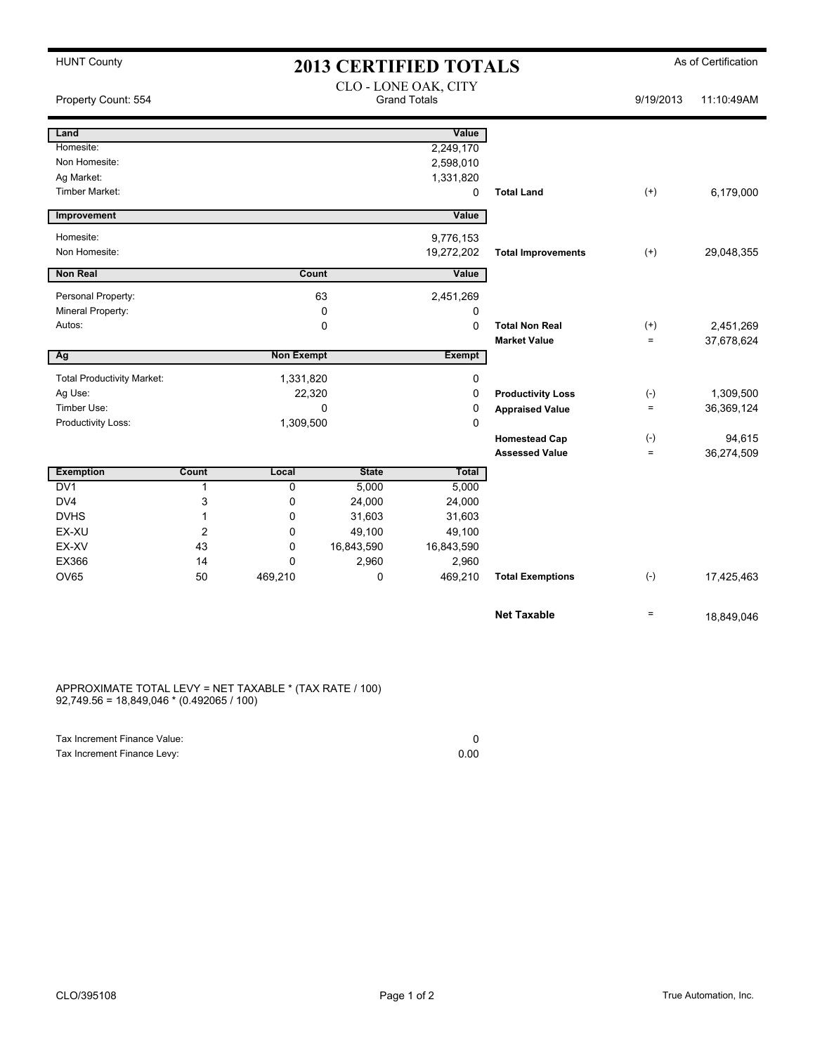| <b>HUNT County</b>                | <b>2013 CERTIFIED TOTALS</b> |                   |              |                                             |                           |                   | As of Certification |  |
|-----------------------------------|------------------------------|-------------------|--------------|---------------------------------------------|---------------------------|-------------------|---------------------|--|
| Property Count: 554               |                              |                   |              | CLO - LONE OAK, CITY<br><b>Grand Totals</b> |                           | 9/19/2013         | 11:10:49AM          |  |
| Land                              |                              |                   |              | Value                                       |                           |                   |                     |  |
| Homesite:                         |                              |                   |              | 2,249,170                                   |                           |                   |                     |  |
| Non Homesite:                     |                              |                   |              | 2,598,010                                   |                           |                   |                     |  |
| Ag Market:                        |                              |                   |              | 1,331,820                                   |                           |                   |                     |  |
| <b>Timber Market:</b>             |                              |                   |              | 0                                           | <b>Total Land</b>         | $(+)$             | 6,179,000           |  |
| Improvement                       |                              |                   |              | Value                                       |                           |                   |                     |  |
| Homesite:                         |                              |                   |              | 9,776,153                                   |                           |                   |                     |  |
| Non Homesite:                     |                              |                   |              | 19,272,202                                  | <b>Total Improvements</b> | $(+)$             | 29,048,355          |  |
| <b>Non Real</b>                   |                              |                   | Count        | Value                                       |                           |                   |                     |  |
| Personal Property:                |                              |                   | 63           | 2,451,269                                   |                           |                   |                     |  |
| Mineral Property:                 |                              |                   | 0            | 0                                           |                           |                   |                     |  |
| Autos:                            |                              |                   | 0            | 0                                           | <b>Total Non Real</b>     | $^{(+)}$          | 2,451,269           |  |
|                                   |                              |                   |              |                                             | <b>Market Value</b>       | $\equiv$          | 37,678,624          |  |
| Ag                                |                              | <b>Non Exempt</b> |              | <b>Exempt</b>                               |                           |                   |                     |  |
| <b>Total Productivity Market:</b> |                              | 1,331,820         |              | 0                                           |                           |                   |                     |  |
| Ag Use:                           |                              | 22,320            |              | 0                                           | <b>Productivity Loss</b>  | $(-)$             | 1,309,500           |  |
| Timber Use:                       | 0                            |                   |              | 0                                           | <b>Appraised Value</b>    | $\equiv$          | 36,369,124          |  |
| Productivity Loss:                |                              | 1,309,500         |              | $\Omega$                                    |                           |                   |                     |  |
|                                   |                              |                   |              |                                             | <b>Homestead Cap</b>      | $(-)$             | 94,615              |  |
|                                   |                              |                   |              |                                             | <b>Assessed Value</b>     | $\qquad \qquad =$ | 36,274,509          |  |
| <b>Exemption</b>                  | Count                        | Local             | <b>State</b> | Total                                       |                           |                   |                     |  |
| DV1                               | 1                            | $\mathbf 0$       | 5,000        | 5,000                                       |                           |                   |                     |  |
| DV4                               | 3                            | 0                 | 24,000       | 24,000                                      |                           |                   |                     |  |
| <b>DVHS</b>                       | 1                            | $\mathbf 0$       | 31,603       | 31,603                                      |                           |                   |                     |  |
| EX-XU                             | $\overline{c}$               | 0                 | 49,100       | 49,100                                      |                           |                   |                     |  |
| EX-XV                             | 43                           | $\mathbf 0$       | 16,843,590   | 16,843,590                                  |                           |                   |                     |  |
| EX366                             | 14                           | $\mathbf 0$       | 2,960        | 2,960                                       |                           |                   |                     |  |
| <b>OV65</b>                       | 50                           | 469,210           | 0            | 469,210                                     | <b>Total Exemptions</b>   | $(-)$             | 17,425,463          |  |
|                                   |                              |                   |              |                                             | <b>Net Taxable</b>        | $=$               | 18,849,046          |  |

APPROXIMATE TOTAL LEVY = NET TAXABLE \* (TAX RATE / 100) 92,749.56 = 18,849,046 \* (0.492065 / 100)

| Tax Increment Finance Value: |      |
|------------------------------|------|
| Tax Increment Finance Levy:  | 0.00 |